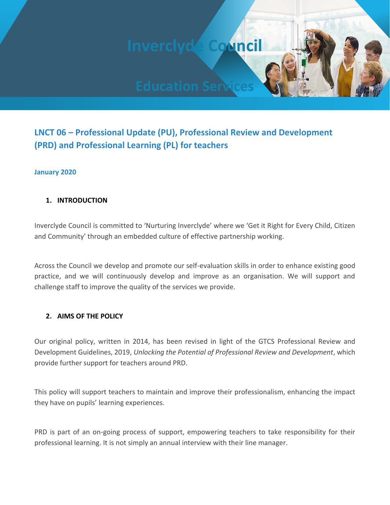**Inverclyde Council**

# **LNCT 06 – Professional Update (PU), Professional Review and Development (PRD) and Professional Learning (PL) for teachers**

### **January 2020**

### **1. INTRODUCTION**

Inverclyde Council is committed to 'Nurturing Inverclyde' where we 'Get it Right for Every Child, Citizen and Community' through an embedded culture of effective partnership working.

Across the Council we develop and promote our self-evaluation skills in order to enhance existing good practice, and we will continuously develop and improve as an organisation. We will support and challenge staff to improve the quality of the services we provide.

#### **2. AIMS OF THE POLICY**

Our original policy, written in 2014, has been revised in light of the GTCS Professional Review and Development Guidelines, 2019, *Unlocking the Potential of Professional Review and Development*, which provide further support for teachers around PRD.

This policy will support teachers to maintain and improve their professionalism, enhancing the impact they have on pupils' learning experiences.

PRD is part of an on-going process of support, empowering teachers to take responsibility for their professional learning. It is not simply an annual interview with their line manager.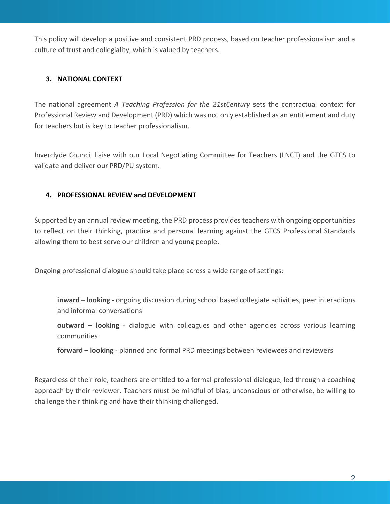This policy will develop a positive and consistent PRD process, based on teacher professionalism and a culture of trust and collegiality, which is valued by teachers.

# **3. NATIONAL CONTEXT**

The national agreement *A Teaching Profession for the 21stCentury* sets the contractual context for Professional Review and Development (PRD) which was not only established as an entitlement and duty for teachers but is key to teacher professionalism.

Inverclyde Council liaise with our Local Negotiating Committee for Teachers (LNCT) and the GTCS to validate and deliver our PRD/PU system.

### **4. PROFESSIONAL REVIEW and DEVELOPMENT**

Supported by an annual review meeting, the PRD process provides teachers with ongoing opportunities to reflect on their thinking, practice and personal learning against the GTCS Professional Standards allowing them to best serve our children and young people.

Ongoing professional dialogue should take place across a wide range of settings:

**inward – looking -** ongoing discussion during school based collegiate activities, peer interactions and informal conversations

**outward – looking** - dialogue with colleagues and other agencies across various learning communities

**forward – looking** - planned and formal PRD meetings between reviewees and reviewers

Regardless of their role, teachers are entitled to a formal professional dialogue, led through a coaching approach by their reviewer. Teachers must be mindful of bias, unconscious or otherwise, be willing to challenge their thinking and have their thinking challenged.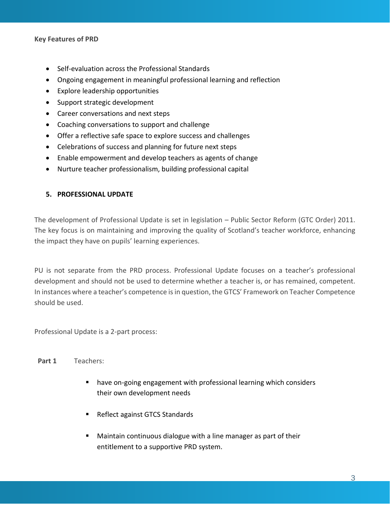#### **Key Features of PRD**

- Self-evaluation across the Professional Standards
- Ongoing engagement in meaningful professional learning and reflection
- Explore leadership opportunities
- Support strategic development
- Career conversations and next steps
- Coaching conversations to support and challenge
- Offer a reflective safe space to explore success and challenges
- Celebrations of success and planning for future next steps
- Enable empowerment and develop teachers as agents of change
- Nurture teacher professionalism, building professional capital

#### **5. PROFESSIONAL UPDATE**

The development of Professional Update is set in legislation – Public Sector Reform (GTC Order) 2011. The key focus is on maintaining and improving the quality of Scotland's teacher workforce, enhancing the impact they have on pupils' learning experiences.

PU is not separate from the PRD process. Professional Update focuses on a teacher's professional development and should not be used to determine whether a teacher is, or has remained, competent. In instances where a teacher's competence is in question, the GTCS' Framework on Teacher Competence should be used.

Professional Update is a 2-part process:

#### **Part 1** Teachers:

- have on-going engagement with professional learning which considers their own development needs
- Reflect against GTCS Standards
- Maintain continuous dialogue with a line manager as part of their entitlement to a supportive PRD system.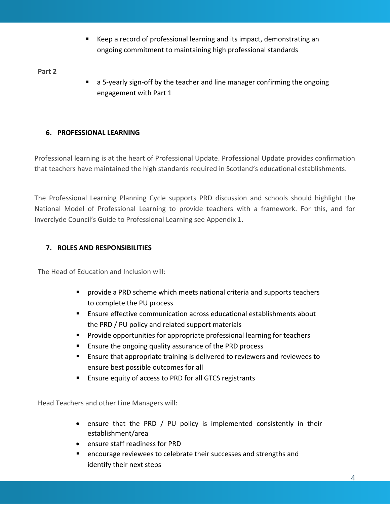Keep a record of professional learning and its impact, demonstrating an ongoing commitment to maintaining high professional standards

**Part 2**

a 5-yearly sign-off by the teacher and line manager confirming the ongoing engagement with Part 1

# **6. PROFESSIONAL LEARNING**

Professional learning is at the heart of Professional Update. Professional Update provides confirmation that teachers have maintained the high standards required in Scotland's educational establishments.

The Professional Learning Planning Cycle supports PRD discussion and schools should highlight the National Model of Professional Learning to provide teachers with a framework. For this, and for Inverclyde Council's Guide to Professional Learning see Appendix 1.

# **7. ROLES AND RESPONSIBILITIES**

The Head of Education and Inclusion will:

- provide a PRD scheme which meets national criteria and supports teachers to complete the PU process
- Ensure effective communication across educational establishments about the PRD / PU policy and related support materials
- Provide opportunities for appropriate professional learning for teachers
- Ensure the ongoing quality assurance of the PRD process
- Ensure that appropriate training is delivered to reviewers and reviewees to ensure best possible outcomes for all
- Ensure equity of access to PRD for all GTCS registrants

Head Teachers and other Line Managers will:

- ensure that the PRD / PU policy is implemented consistently in their establishment/area
- ensure staff readiness for PRD
- encourage reviewees to celebrate their successes and strengths and identify their next steps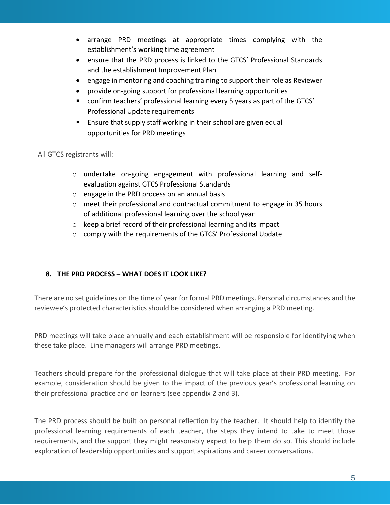- arrange PRD meetings at appropriate times complying with the establishment's working time agreement
- ensure that the PRD process is linked to the GTCS' Professional Standards and the establishment Improvement Plan
- engage in mentoring and coaching training to support their role as Reviewer
- provide on-going support for professional learning opportunities
- confirm teachers' professional learning every 5 years as part of the GTCS' Professional Update requirements
- Ensure that supply staff working in their school are given equal opportunities for PRD meetings

All GTCS registrants will:

- o undertake on-going engagement with professional learning and selfevaluation against GTCS Professional Standards
- o engage in the PRD process on an annual basis
- $\circ$  meet their professional and contractual commitment to engage in 35 hours of additional professional learning over the school year
- o keep a brief record of their professional learning and its impact
- o comply with the requirements of the GTCS' Professional Update

# **8. THE PRD PROCESS – WHAT DOES IT LOOK LIKE?**

There are no set guidelines on the time of year for formal PRD meetings. Personal circumstances and the reviewee's protected characteristics should be considered when arranging a PRD meeting.

PRD meetings will take place annually and each establishment will be responsible for identifying when these take place. Line managers will arrange PRD meetings.

Teachers should prepare for the professional dialogue that will take place at their PRD meeting. For example, consideration should be given to the impact of the previous year's professional learning on their professional practice and on learners (see appendix 2 and 3).

The PRD process should be built on personal reflection by the teacher. It should help to identify the professional learning requirements of each teacher, the steps they intend to take to meet those requirements, and the support they might reasonably expect to help them do so. This should include exploration of leadership opportunities and support aspirations and career conversations.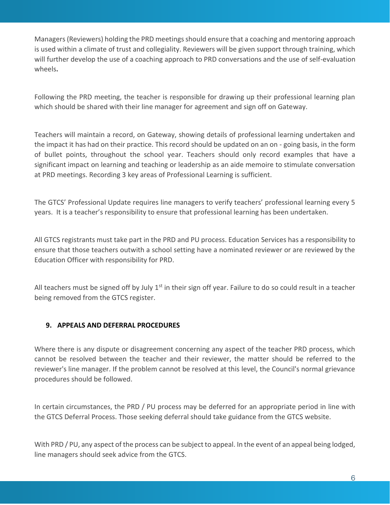Managers (Reviewers) holding the PRD meetings should ensure that a coaching and mentoring approach is used within a climate of trust and collegiality. Reviewers will be given support through training, which will further develop the use of a coaching approach to PRD conversations and the use of self-evaluation wheels**.**

Following the PRD meeting, the teacher is responsible for drawing up their professional learning plan which should be shared with their line manager for agreement and sign off on Gateway.

Teachers will maintain a record, on Gateway, showing details of professional learning undertaken and the impact it has had on their practice. This record should be updated on an on - going basis, in the form of bullet points, throughout the school year. Teachers should only record examples that have a significant impact on learning and teaching or leadership as an aide memoire to stimulate conversation at PRD meetings. Recording 3 key areas of Professional Learning is sufficient.

The GTCS' Professional Update requires line managers to verify teachers' professional learning every 5 years. It is a teacher's responsibility to ensure that professional learning has been undertaken.

All GTCS registrants must take part in the PRD and PU process. Education Services has a responsibility to ensure that those teachers outwith a school setting have a nominated reviewer or are reviewed by the Education Officer with responsibility for PRD.

All teachers must be signed off by July  $1<sup>st</sup>$  in their sign off year. Failure to do so could result in a teacher being removed from the GTCS register.

# **9. APPEALS AND DEFERRAL PROCEDURES**

Where there is any dispute or disagreement concerning any aspect of the teacher PRD process, which cannot be resolved between the teacher and their reviewer, the matter should be referred to the reviewer's line manager. If the problem cannot be resolved at this level, the Council's normal grievance procedures should be followed.

In certain circumstances, the PRD / PU process may be deferred for an appropriate period in line with the GTCS Deferral Process. Those seeking deferral should take guidance from the GTCS website.

With PRD / PU, any aspect of the process can be subject to appeal. In the event of an appeal being lodged, line managers should seek advice from the GTCS.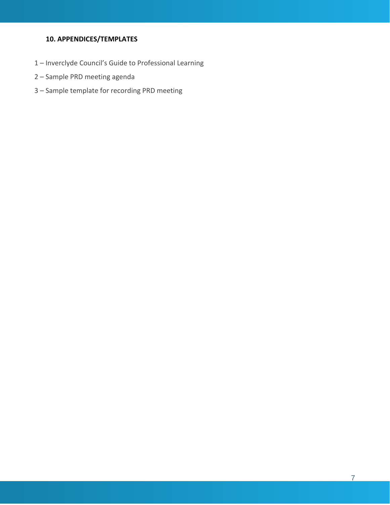# **10. APPENDICES/TEMPLATES**

- Inverclyde Council's Guide to Professional Learning
- Sample PRD meeting agenda
- Sample template for recording PRD meeting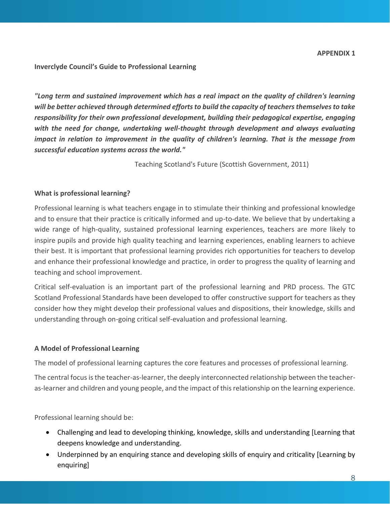**Inverclyde Council's Guide to Professional Learning**

*"Long term and sustained improvement which has a real impact on the quality of children's learning will be better achieved through determined efforts to build the capacity of teachers themselves to take responsibility for their own professional development, building their pedagogical expertise, engaging with the need for change, undertaking well-thought through development and always evaluating impact in relation to improvement in the quality of children's learning. That is the message from successful education systems across the world."*

Teaching Scotland's Future (Scottish Government, 2011)

#### **What is professional learning?**

Professional learning is what teachers engage in to stimulate their thinking and professional knowledge and to ensure that their practice is critically informed and up-to-date. We believe that by undertaking a wide range of high-quality, sustained professional learning experiences, teachers are more likely to inspire pupils and provide high quality teaching and learning experiences, enabling learners to achieve their best. It is important that professional learning provides rich opportunities for teachers to develop and enhance their professional knowledge and practice, in order to progress the quality of learning and teaching and school improvement.

Critical self-evaluation is an important part of the professional learning and PRD process. The GTC Scotland Professional Standards have been developed to offer constructive support for teachers as they consider how they might develop their professional values and dispositions, their knowledge, skills and understanding through on-going critical self-evaluation and professional learning.

#### **A Model of Professional Learning**

The model of professional learning captures the core features and processes of professional learning.

The central focus is the teacher-as-learner, the deeply interconnected relationship between the teacheras-learner and children and young people, and the impact of this relationship on the learning experience.

Professional learning should be:

- Challenging and lead to developing thinking, knowledge, skills and understanding [Learning that deepens knowledge and understanding.
- Underpinned by an enquiring stance and developing skills of enquiry and criticality [Learning by enquiring]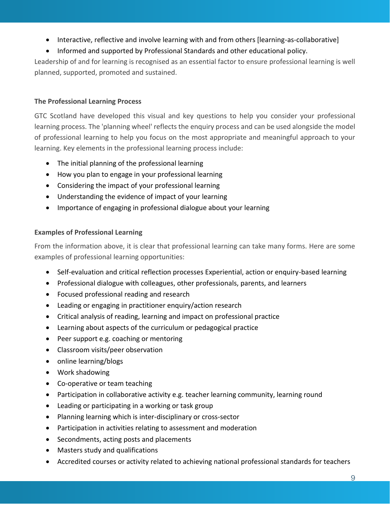- Interactive, reflective and involve learning with and from others [learning-as-collaborative]
- Informed and supported by Professional Standards and other educational policy.

Leadership of and for learning is recognised as an essential factor to ensure professional learning is well planned, supported, promoted and sustained.

# **The Professional Learning Process**

GTC Scotland have developed this visual and key questions to help you consider your professional learning process. The 'planning wheel' reflects the enquiry process and can be used alongside the model of professional learning to help you focus on the most appropriate and meaningful approach to your learning. Key elements in the professional learning process include:

- The initial planning of the professional learning
- How you plan to engage in your professional learning
- Considering the impact of your professional learning
- Understanding the evidence of impact of your learning
- Importance of engaging in professional dialogue about your learning

# **Examples of Professional Learning**

From the information above, it is clear that professional learning can take many forms. Here are some examples of professional learning opportunities:

- Self-evaluation and critical reflection processes Experiential, action or enquiry-based learning
- Professional dialogue with colleagues, other professionals, parents, and learners
- Focused professional reading and research
- Leading or engaging in practitioner enquiry/action research
- Critical analysis of reading, learning and impact on professional practice
- Learning about aspects of the curriculum or pedagogical practice
- Peer support e.g. coaching or mentoring
- Classroom visits/peer observation
- online learning/blogs
- Work shadowing
- Co-operative or team teaching
- Participation in collaborative activity e.g. teacher learning community, learning round
- Leading or participating in a working or task group
- Planning learning which is inter-disciplinary or cross-sector
- Participation in activities relating to assessment and moderation
- Secondments, acting posts and placements
- Masters study and qualifications
- Accredited courses or activity related to achieving national professional standards for teachers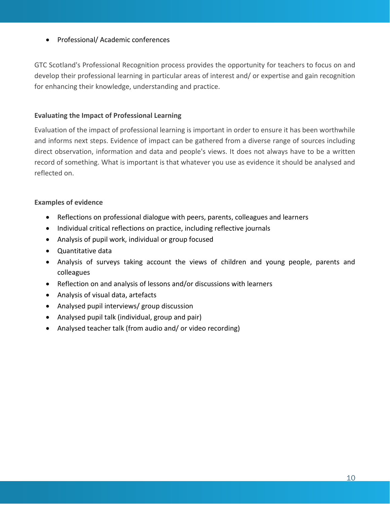### • Professional/ Academic conferences

GTC Scotland's Professional Recognition process provides the opportunity for teachers to focus on and develop their professional learning in particular areas of interest and/ or expertise and gain recognition for enhancing their knowledge, understanding and practice.

#### **Evaluating the Impact of Professional Learning**

Evaluation of the impact of professional learning is important in order to ensure it has been worthwhile and informs next steps. Evidence of impact can be gathered from a diverse range of sources including direct observation, information and data and people's views. It does not always have to be a written record of something. What is important is that whatever you use as evidence it should be analysed and reflected on.

#### **Examples of evidence**

- Reflections on professional dialogue with peers, parents, colleagues and learners
- Individual critical reflections on practice, including reflective journals
- Analysis of pupil work, individual or group focused
- Quantitative data
- Analysis of surveys taking account the views of children and young people, parents and colleagues
- Reflection on and analysis of lessons and/or discussions with learners
- Analysis of visual data, artefacts
- Analysed pupil interviews/ group discussion
- Analysed pupil talk (individual, group and pair)
- Analysed teacher talk (from audio and/ or video recording)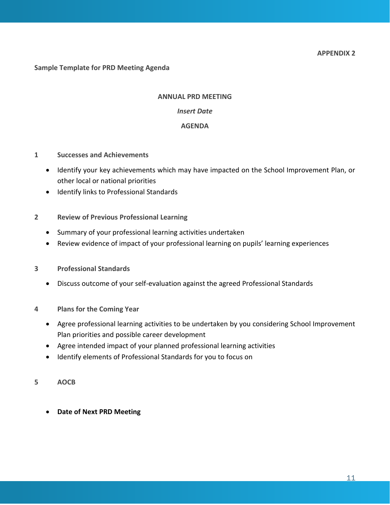#### **Sample Template for PRD Meeting Agenda**

#### **ANNUAL PRD MEETING**

#### *Insert Date*

#### **AGENDA**

- **1 Successes and Achievements**
	- Identify your key achievements which may have impacted on the School Improvement Plan, or other local or national priorities
	- Identify links to Professional Standards
- **2 Review of Previous Professional Learning**
	- Summary of your professional learning activities undertaken
	- Review evidence of impact of your professional learning on pupils' learning experiences
- **3 Professional Standards**
	- Discuss outcome of your self-evaluation against the agreed Professional Standards
- **4 Plans for the Coming Year**
	- Agree professional learning activities to be undertaken by you considering School Improvement Plan priorities and possible career development
	- Agree intended impact of your planned professional learning activities
	- Identify elements of Professional Standards for you to focus on
- **5 AOCB**
	- **Date of Next PRD Meeting**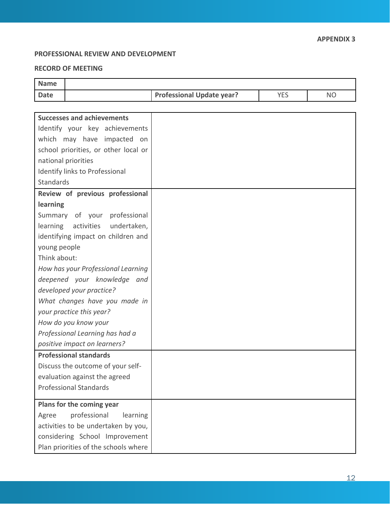# **PROFESSIONAL REVIEW AND DEVELOPMENT**

#### **RECORD OF MEETING**

| <b>Name</b>                          |                                  |            |           |
|--------------------------------------|----------------------------------|------------|-----------|
| <b>Date</b>                          | <b>Professional Update year?</b> | <b>YES</b> | <b>NO</b> |
|                                      |                                  |            |           |
| <b>Successes and achievements</b>    |                                  |            |           |
| Identify your key achievements       |                                  |            |           |
| which may have impacted on           |                                  |            |           |
| school priorities, or other local or |                                  |            |           |
| national priorities                  |                                  |            |           |
| Identify links to Professional       |                                  |            |           |
| Standards                            |                                  |            |           |
| Review of previous professional      |                                  |            |           |
| learning                             |                                  |            |           |
| Summary of your professional         |                                  |            |           |
| learning activities undertaken,      |                                  |            |           |
| identifying impact on children and   |                                  |            |           |
| young people                         |                                  |            |           |
| Think about:                         |                                  |            |           |
| How has your Professional Learning   |                                  |            |           |
| deepened your knowledge and          |                                  |            |           |
| developed your practice?             |                                  |            |           |
| What changes have you made in        |                                  |            |           |
| your practice this year?             |                                  |            |           |
| How do you know your                 |                                  |            |           |
| Professional Learning has had a      |                                  |            |           |
| positive impact on learners?         |                                  |            |           |
| <b>Professional standards</b>        |                                  |            |           |
| Discuss the outcome of your self-    |                                  |            |           |
| evaluation against the agreed        |                                  |            |           |
| <b>Professional Standards</b>        |                                  |            |           |
| Plans for the coming year            |                                  |            |           |
| professional<br>learning<br>Agree    |                                  |            |           |
| activities to be undertaken by you,  |                                  |            |           |
| considering School Improvement       |                                  |            |           |
| Plan priorities of the schools where |                                  |            |           |